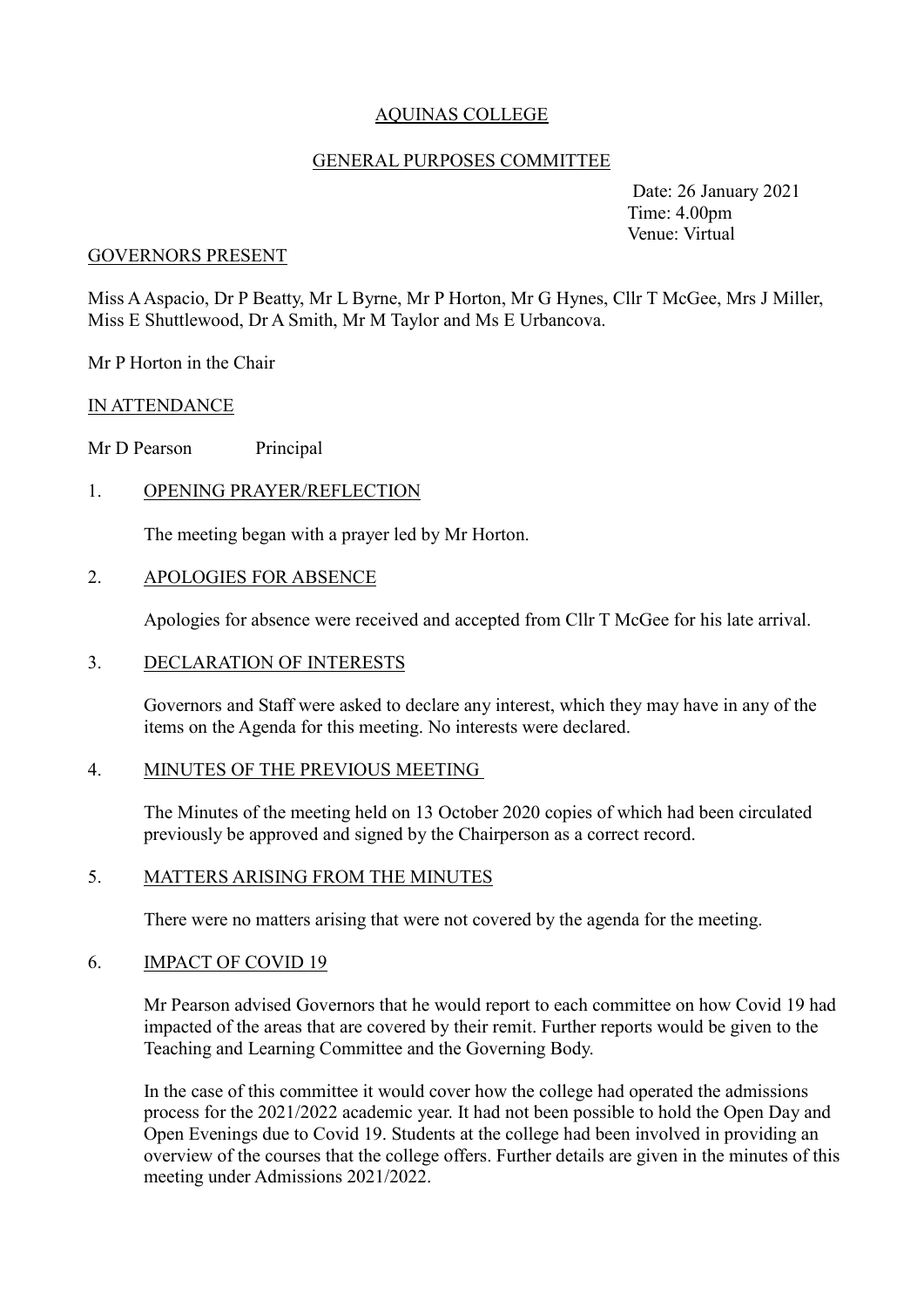# AQUINAS COLLEGE

# GENERAL PURPOSES COMMITTEE

 Date: 26 January 2021 Time: 4.00pm Venue: Virtual

#### GOVERNORS PRESENT

Miss A Aspacio, Dr P Beatty, Mr L Byrne, Mr P Horton, Mr G Hynes, Cllr T McGee, Mrs J Miller, Miss E Shuttlewood, Dr A Smith, Mr M Taylor and Ms E Urbancova.

Mr P Horton in the Chair

### IN ATTENDANCE

Mr D Pearson Principal

#### 1. OPENING PRAYER/REFLECTION

The meeting began with a prayer led by Mr Horton.

### 2. APOLOGIES FOR ABSENCE

Apologies for absence were received and accepted from Cllr T McGee for his late arrival.

#### 3. DECLARATION OF INTERESTS

Governors and Staff were asked to declare any interest, which they may have in any of the items on the Agenda for this meeting. No interests were declared.

### 4. MINUTES OF THE PREVIOUS MEETING

The Minutes of the meeting held on 13 October 2020 copies of which had been circulated previously be approved and signed by the Chairperson as a correct record.

### 5. MATTERS ARISING FROM THE MINUTES

There were no matters arising that were not covered by the agenda for the meeting.

## 6. IMPACT OF COVID 19

 Mr Pearson advised Governors that he would report to each committee on how Covid 19 had impacted of the areas that are covered by their remit. Further reports would be given to the Teaching and Learning Committee and the Governing Body.

 In the case of this committee it would cover how the college had operated the admissions process for the 2021/2022 academic year. It had not been possible to hold the Open Day and Open Evenings due to Covid 19. Students at the college had been involved in providing an overview of the courses that the college offers. Further details are given in the minutes of this meeting under Admissions 2021/2022.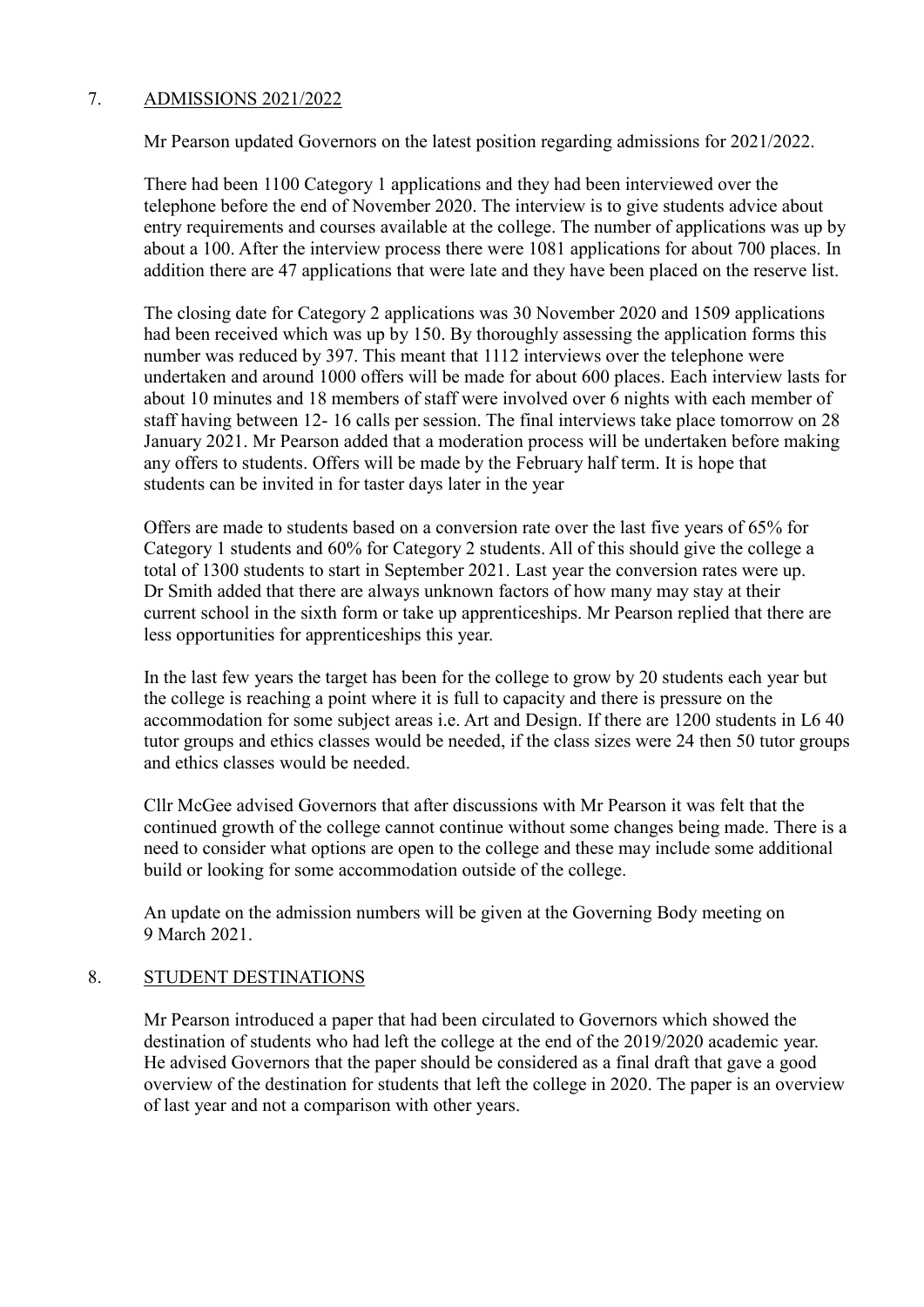# 7. ADMISSIONS 2021/2022

Mr Pearson updated Governors on the latest position regarding admissions for 2021/2022.

There had been 1100 Category 1 applications and they had been interviewed over the telephone before the end of November 2020. The interview is to give students advice about entry requirements and courses available at the college. The number of applications was up by about a 100. After the interview process there were 1081 applications for about 700 places. In addition there are 47 applications that were late and they have been placed on the reserve list.

The closing date for Category 2 applications was 30 November 2020 and 1509 applications had been received which was up by 150. By thoroughly assessing the application forms this number was reduced by 397. This meant that 1112 interviews over the telephone were undertaken and around 1000 offers will be made for about 600 places. Each interview lasts for about 10 minutes and 18 members of staff were involved over 6 nights with each member of staff having between 12- 16 calls per session. The final interviews take place tomorrow on 28 January 2021. Mr Pearson added that a moderation process will be undertaken before making any offers to students. Offers will be made by the February half term. It is hope that students can be invited in for taster days later in the year

Offers are made to students based on a conversion rate over the last five years of 65% for Category 1 students and 60% for Category 2 students. All of this should give the college a total of 1300 students to start in September 2021. Last year the conversion rates were up. Dr Smith added that there are always unknown factors of how many may stay at their current school in the sixth form or take up apprenticeships. Mr Pearson replied that there are less opportunities for apprenticeships this year.

In the last few years the target has been for the college to grow by 20 students each year but the college is reaching a point where it is full to capacity and there is pressure on the accommodation for some subject areas i.e. Art and Design. If there are 1200 students in L6 40 tutor groups and ethics classes would be needed, if the class sizes were 24 then 50 tutor groups and ethics classes would be needed.

Cllr McGee advised Governors that after discussions with Mr Pearson it was felt that the continued growth of the college cannot continue without some changes being made. There is a need to consider what options are open to the college and these may include some additional build or looking for some accommodation outside of the college.

An update on the admission numbers will be given at the Governing Body meeting on 9 March 2021.

## 8. STUDENT DESTINATIONS

Mr Pearson introduced a paper that had been circulated to Governors which showed the destination of students who had left the college at the end of the 2019/2020 academic year. He advised Governors that the paper should be considered as a final draft that gave a good overview of the destination for students that left the college in 2020. The paper is an overview of last year and not a comparison with other years.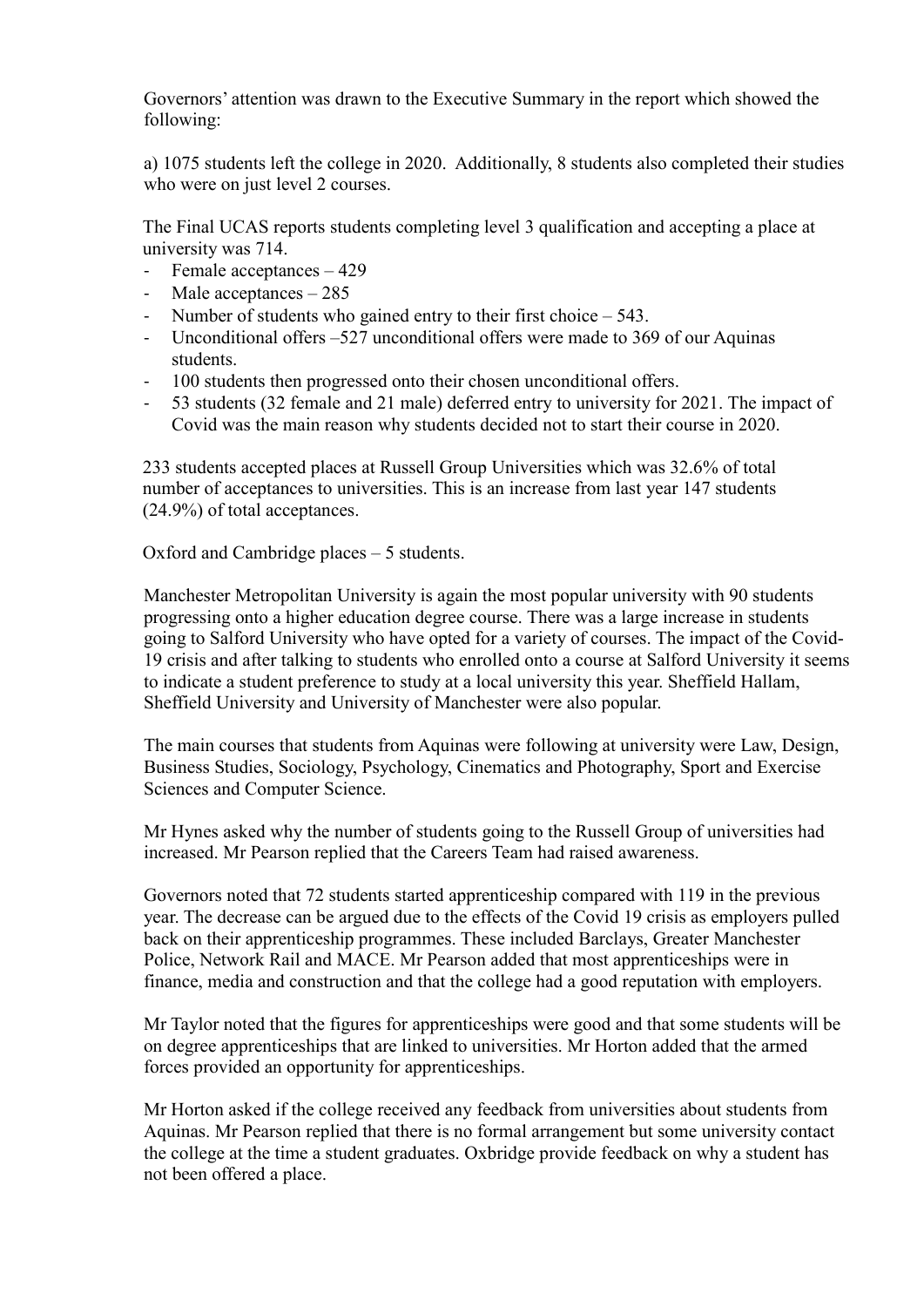Governors' attention was drawn to the Executive Summary in the report which showed the following:

a) 1075 students left the college in 2020. Additionally, 8 students also completed their studies who were on just level 2 courses.

 The Final UCAS reports students completing level 3 qualification and accepting a place at university was 714.

- Female acceptances 429
- Male acceptances 285
- Number of students who gained entry to their first choice 543.
- Unconditional offers –527 unconditional offers were made to 369 of our Aquinas students.
- 100 students then progressed onto their chosen unconditional offers.
- 53 students (32 female and 21 male) deferred entry to university for 2021. The impact of Covid was the main reason why students decided not to start their course in 2020.

 233 students accepted places at Russell Group Universities which was 32.6% of total number of acceptances to universities. This is an increase from last year 147 students (24.9%) of total acceptances.

Oxford and Cambridge places – 5 students.

Manchester Metropolitan University is again the most popular university with 90 students progressing onto a higher education degree course. There was a large increase in students going to Salford University who have opted for a variety of courses. The impact of the Covid-19 crisis and after talking to students who enrolled onto a course at Salford University it seems to indicate a student preference to study at a local university this year. Sheffield Hallam, Sheffield University and University of Manchester were also popular.

The main courses that students from Aquinas were following at university were Law, Design, Business Studies, Sociology, Psychology, Cinematics and Photography, Sport and Exercise Sciences and Computer Science.

Mr Hynes asked why the number of students going to the Russell Group of universities had increased. Mr Pearson replied that the Careers Team had raised awareness.

Governors noted that 72 students started apprenticeship compared with 119 in the previous year. The decrease can be argued due to the effects of the Covid 19 crisis as employers pulled back on their apprenticeship programmes. These included Barclays, Greater Manchester Police, Network Rail and MACE. Mr Pearson added that most apprenticeships were in finance, media and construction and that the college had a good reputation with employers.

Mr Taylor noted that the figures for apprenticeships were good and that some students will be on degree apprenticeships that are linked to universities. Mr Horton added that the armed forces provided an opportunity for apprenticeships.

Mr Horton asked if the college received any feedback from universities about students from Aquinas. Mr Pearson replied that there is no formal arrangement but some university contact the college at the time a student graduates. Oxbridge provide feedback on why a student has not been offered a place.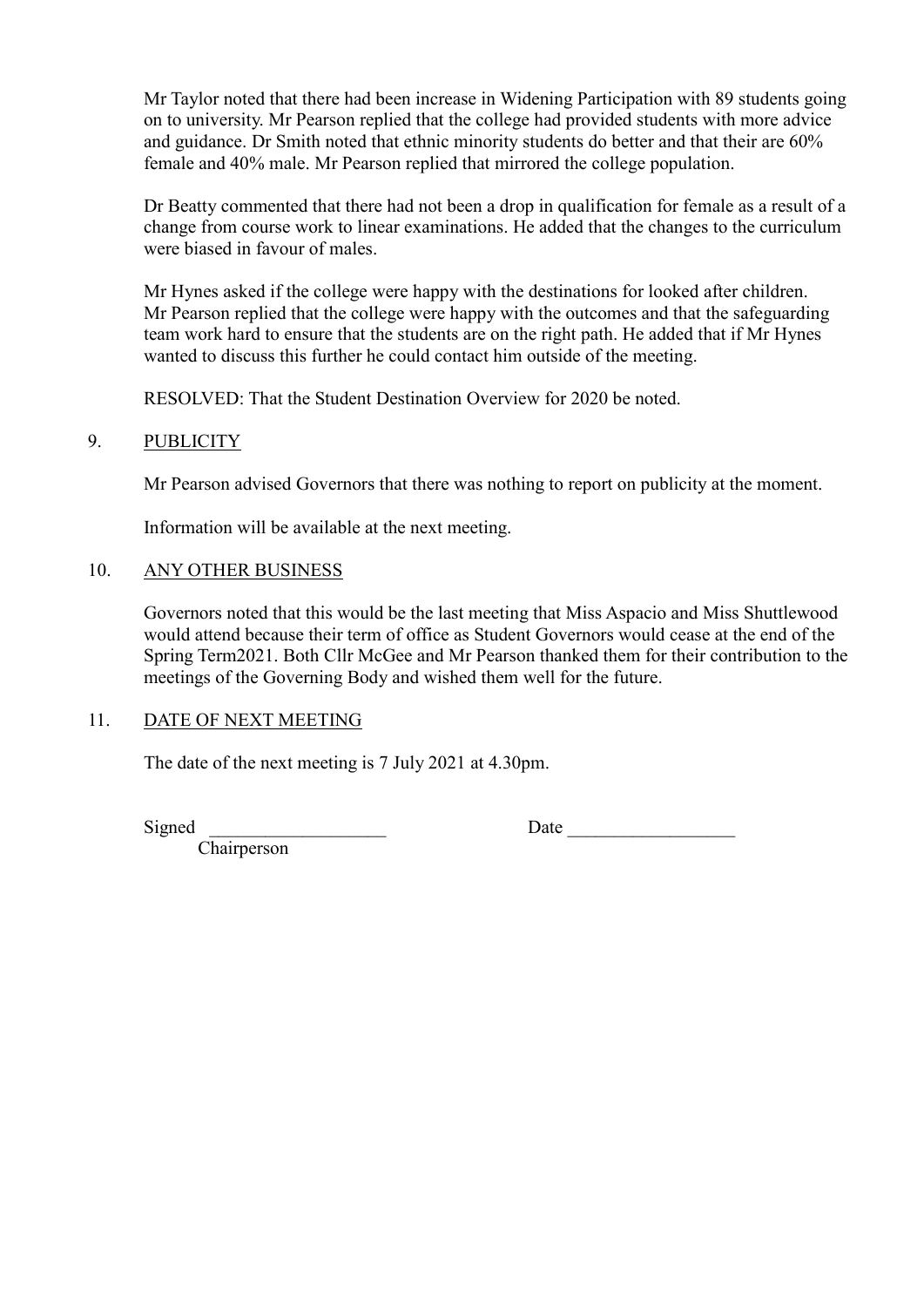Mr Taylor noted that there had been increase in Widening Participation with 89 students going on to university. Mr Pearson replied that the college had provided students with more advice and guidance. Dr Smith noted that ethnic minority students do better and that their are 60% female and 40% male. Mr Pearson replied that mirrored the college population.

Dr Beatty commented that there had not been a drop in qualification for female as a result of a change from course work to linear examinations. He added that the changes to the curriculum were biased in favour of males.

Mr Hynes asked if the college were happy with the destinations for looked after children. Mr Pearson replied that the college were happy with the outcomes and that the safeguarding team work hard to ensure that the students are on the right path. He added that if Mr Hynes wanted to discuss this further he could contact him outside of the meeting.

RESOLVED: That the Student Destination Overview for 2020 be noted.

# 9. PUBLICITY

Mr Pearson advised Governors that there was nothing to report on publicity at the moment.

Information will be available at the next meeting.

## 10. ANY OTHER BUSINESS

Governors noted that this would be the last meeting that Miss Aspacio and Miss Shuttlewood would attend because their term of office as Student Governors would cease at the end of the Spring Term2021. Both Cllr McGee and Mr Pearson thanked them for their contribution to the meetings of the Governing Body and wished them well for the future.

# 11. DATE OF NEXT MEETING

The date of the next meeting is 7 July 2021 at 4.30pm.

Signed Date Date

Chairperson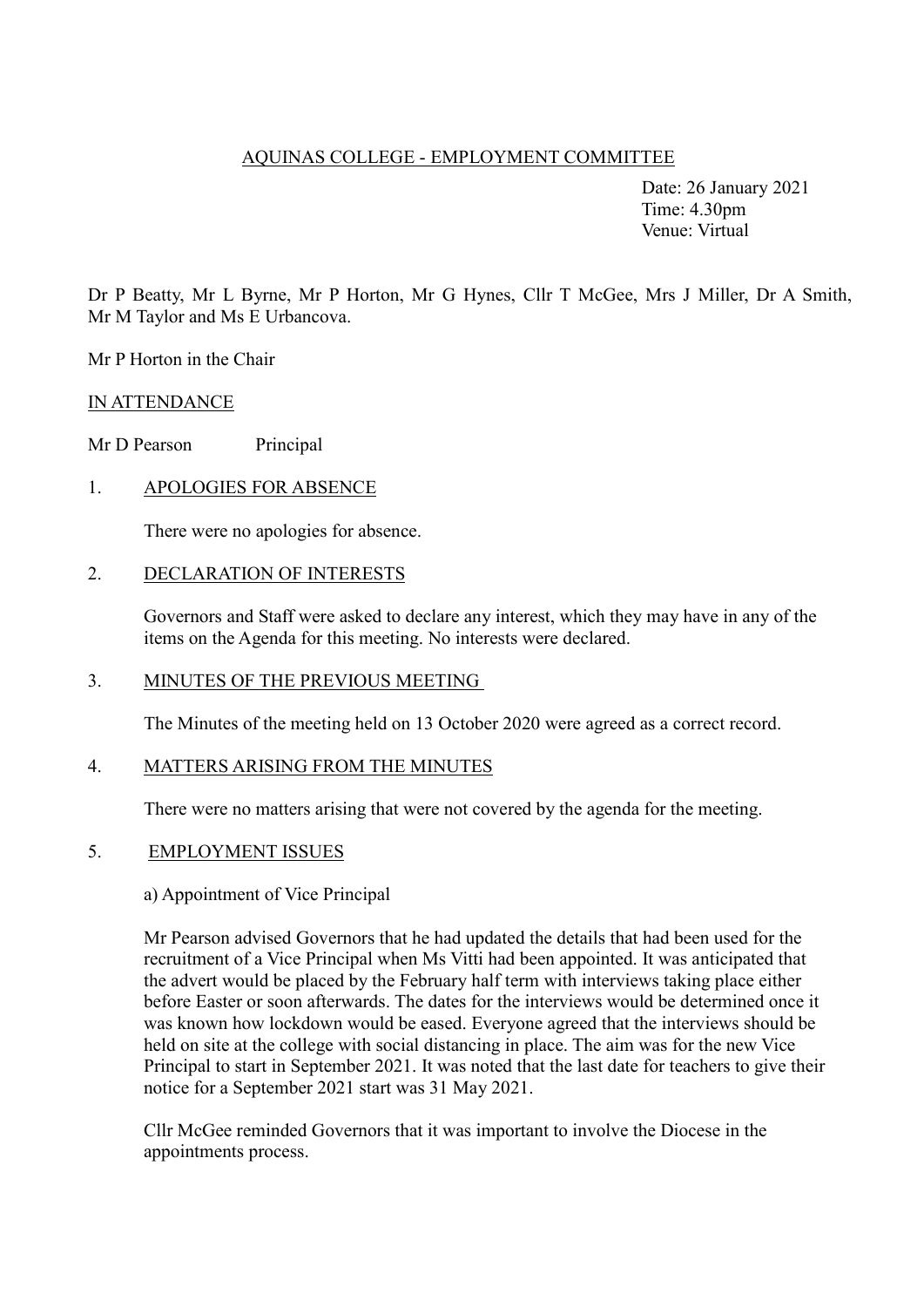# AQUINAS COLLEGE - EMPLOYMENT COMMITTEE

 Date: 26 January 2021 Time: 4.30pm Venue: Virtual

Dr P Beatty, Mr L Byrne, Mr P Horton, Mr G Hynes, Cllr T McGee, Mrs J Miller, Dr A Smith, Mr M Taylor and Ms E Urbancova.

Mr P Horton in the Chair

## IN ATTENDANCE

Mr D Pearson Principal

### 1. APOLOGIES FOR ABSENCE

There were no apologies for absence.

## 2. DECLARATION OF INTERESTS

Governors and Staff were asked to declare any interest, which they may have in any of the items on the Agenda for this meeting. No interests were declared.

#### 3. MINUTES OF THE PREVIOUS MEETING

The Minutes of the meeting held on 13 October 2020 were agreed as a correct record.

### 4. MATTERS ARISING FROM THE MINUTES

There were no matters arising that were not covered by the agenda for the meeting.

## 5. EMPLOYMENT ISSUES

a) Appointment of Vice Principal

Mr Pearson advised Governors that he had updated the details that had been used for the recruitment of a Vice Principal when Ms Vitti had been appointed. It was anticipated that the advert would be placed by the February half term with interviews taking place either before Easter or soon afterwards. The dates for the interviews would be determined once it was known how lockdown would be eased. Everyone agreed that the interviews should be held on site at the college with social distancing in place. The aim was for the new Vice Principal to start in September 2021. It was noted that the last date for teachers to give their notice for a September 2021 start was 31 May 2021.

Cllr McGee reminded Governors that it was important to involve the Diocese in the appointments process.